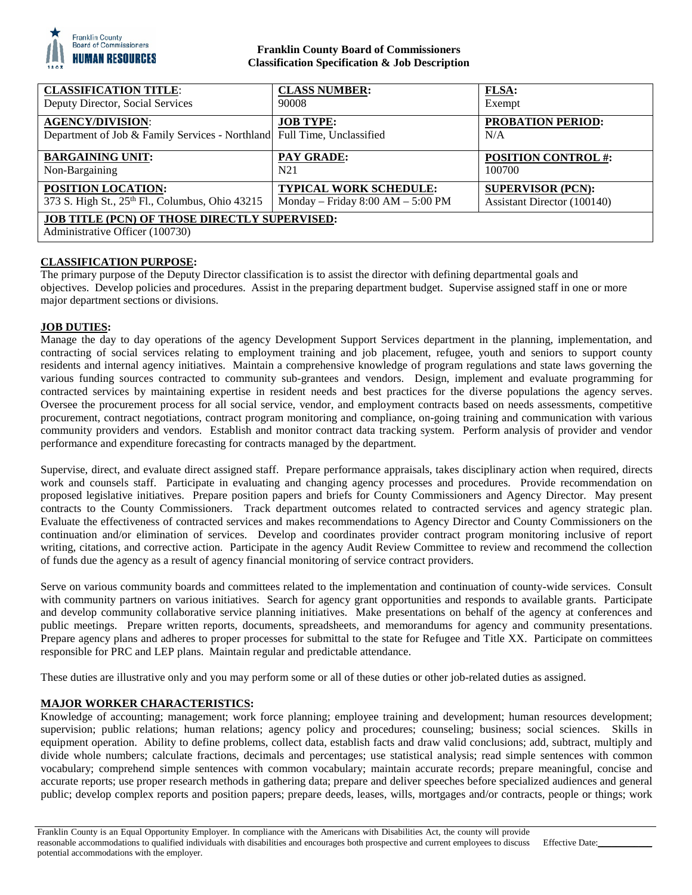

# **Franklin County Board of Commissioners Classification Specification & Job Description**

| <b>CLASSIFICATION TITLE:</b>                                                                       | <b>CLASS NUMBER:</b>                  | <b>FLSA:</b>                    |
|----------------------------------------------------------------------------------------------------|---------------------------------------|---------------------------------|
| Deputy Director, Social Services                                                                   | 90008                                 | Exempt                          |
| <b>AGENCY/DIVISION:</b><br>Department of Job & Family Services - Northland Full Time, Unclassified | <b>JOB TYPE:</b>                      | <b>PROBATION PERIOD:</b><br>N/A |
| <b>BARGAINING UNIT:</b>                                                                            | <b>PAY GRADE:</b>                     | <b>POSITION CONTROL #:</b>      |
| Non-Bargaining                                                                                     | N <sub>21</sub>                       | 100700                          |
| <b>POSITION LOCATION:</b>                                                                          | <b>TYPICAL WORK SCHEDULE:</b>         | <b>SUPERVISOR (PCN):</b>        |
| 373 S. High St., 25th Fl., Columbus, Ohio 43215                                                    | Monday – Friday $8:00$ AM – $5:00$ PM | Assistant Director (100140)     |
| <b>JOB TITLE (PCN) OF THOSE DIRECTLY SUPERVISED:</b><br>Administrative Officer (100730)            |                                       |                                 |

# **CLASSIFICATION PURPOSE:**

The primary purpose of the Deputy Director classification is to assist the director with defining departmental goals and objectives. Develop policies and procedures. Assist in the preparing department budget. Supervise assigned staff in one or more major department sections or divisions.

## **JOB DUTIES:**

Manage the day to day operations of the agency Development Support Services department in the planning, implementation, and contracting of social services relating to employment training and job placement, refugee, youth and seniors to support county residents and internal agency initiatives. Maintain a comprehensive knowledge of program regulations and state laws governing the various funding sources contracted to community sub-grantees and vendors. Design, implement and evaluate programming for contracted services by maintaining expertise in resident needs and best practices for the diverse populations the agency serves. Oversee the procurement process for all social service, vendor, and employment contracts based on needs assessments, competitive procurement, contract negotiations, contract program monitoring and compliance, on-going training and communication with various community providers and vendors. Establish and monitor contract data tracking system. Perform analysis of provider and vendor performance and expenditure forecasting for contracts managed by the department.

Supervise, direct, and evaluate direct assigned staff. Prepare performance appraisals, takes disciplinary action when required, directs work and counsels staff. Participate in evaluating and changing agency processes and procedures. Provide recommendation on proposed legislative initiatives. Prepare position papers and briefs for County Commissioners and Agency Director. May present contracts to the County Commissioners. Track department outcomes related to contracted services and agency strategic plan. Evaluate the effectiveness of contracted services and makes recommendations to Agency Director and County Commissioners on the continuation and/or elimination of services. Develop and coordinates provider contract program monitoring inclusive of report writing, citations, and corrective action. Participate in the agency Audit Review Committee to review and recommend the collection of funds due the agency as a result of agency financial monitoring of service contract providers.

Serve on various community boards and committees related to the implementation and continuation of county-wide services. Consult with community partners on various initiatives. Search for agency grant opportunities and responds to available grants. Participate and develop community collaborative service planning initiatives. Make presentations on behalf of the agency at conferences and public meetings. Prepare written reports, documents, spreadsheets, and memorandums for agency and community presentations. Prepare agency plans and adheres to proper processes for submittal to the state for Refugee and Title XX. Participate on committees responsible for PRC and LEP plans. Maintain regular and predictable attendance.

These duties are illustrative only and you may perform some or all of these duties or other job-related duties as assigned.

## **MAJOR WORKER CHARACTERISTICS:**

Knowledge of accounting; management; work force planning; employee training and development; human resources development; supervision; public relations; human relations; agency policy and procedures; counseling; business; social sciences. Skills in equipment operation. Ability to define problems, collect data, establish facts and draw valid conclusions; add, subtract, multiply and divide whole numbers; calculate fractions, decimals and percentages; use statistical analysis; read simple sentences with common vocabulary; comprehend simple sentences with common vocabulary; maintain accurate records; prepare meaningful, concise and accurate reports; use proper research methods in gathering data; prepare and deliver speeches before specialized audiences and general public; develop complex reports and position papers; prepare deeds, leases, wills, mortgages and/or contracts, people or things; work

Effective Date:\_\_\_\_\_\_\_\_\_\_\_\_